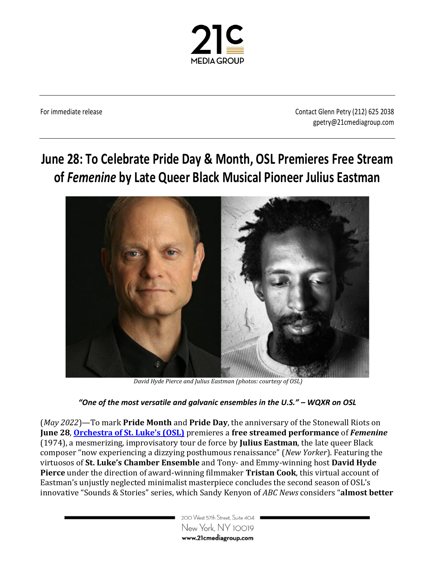

For immediate release Contact Glenn Petry (212) 625 2038 gpetry@21cmediagroup.com

## **June 28: To Celebrate Pride Day & Month, OSL Premieres Free Stream of** *Femenine* **by Late Queer Black Musical Pioneer Julius Eastman**



*David Hyde Pierce and Julius Eastman (photos: courtesy of OSL)* 

## *"One of the most versatile and galvanic ensembles in the U.S." – WQXR on OSL*

(*May 2022*)—To mark **Pride Month** and **Pride Day**, the anniversary of the Stonewall Riots on **June 28**, **[Orchestra of St. Luke's \(OSL\)](https://oslmusic.org/)** premieres a **free streamed performance** of *Femenine* (1974), a mesmerizing, improvisatory tour de force by **Julius Eastman**, the late queer Black composer "now experiencing a dizzying posthumous renaissance" (*New Yorker*). Featuring the virtuosos of **St. Luke's Chamber Ensemble** and Tony- and Emmy-winning host **David Hyde Pierce** under the direction of award-winning filmmaker **Tristan Cook**, this virtual account of Eastman's unjustly neglected minimalist masterpiece concludes the second season of OSL's innovative "Sounds & Stories" series, which Sandy Kenyon of *ABC News* considers "**almost better** 

> 200 West 57th Street, Suite 404 New York, NY 10019 www.21cmediagroup.com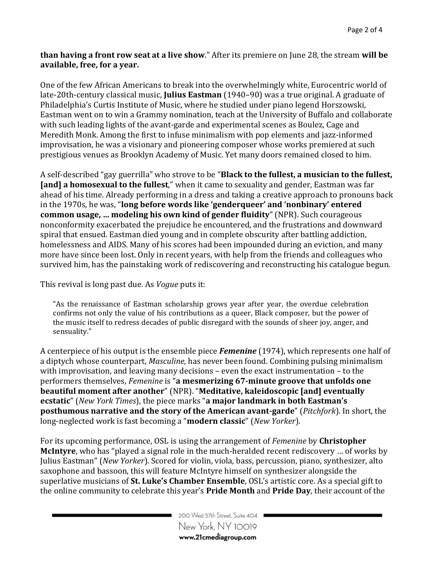**than having a front row seat at a live show**." After its premiere on June 28, the stream **will be available, free, for a year.**

One of the few African Americans to break into the overwhelmingly white, Eurocentric world of late-20th-century classical music, **Julius Eastman** (1940–90) was a true original. A graduate of Philadelphia's Curtis Institute of Music, where he studied under piano legend Horszowski, Eastman went on to win a Grammy nomination, teach at the University of Buffalo and collaborate with such leading lights of the avant-garde and experimental scenes as Boulez, Cage and Meredith Monk. Among the first to infuse minimalism with pop elements and jazz-informed improvisation, he was a visionary and pioneering composer whose works premiered at such prestigious venues as Brooklyn Academy of Music. Yet many doors remained closed to him.

A self-described "gay guerrilla" who strove to be "**Black to the fullest, a musician to the fullest, [and] a homosexual to the fullest**," when it came to sexuality and gender, Eastman was far ahead of his time. Already performing in a dress and taking a creative approach to pronouns back in the 1970s, he was, "**long before words like 'genderqueer' and 'nonbinary' entered common usage, … modeling his own kind of gender fluidity**" (NPR). Such courageous nonconformity exacerbated the prejudice he encountered, and the frustrations and downward spiral that ensued. Eastman died young and in complete obscurity after battling addiction, homelessness and AIDS. Many of his scores had been impounded during an eviction, and many more have since been lost. Only in recent years, with help from the friends and colleagues who survived him, has the painstaking work of rediscovering and reconstructing his catalogue begun.

This revival is long past due. As *Vogue* puts it:

"As the renaissance of Eastman scholarship grows year after year, the overdue celebration confirms not only the value of his contributions as a queer, Black composer, but the power of the music itself to redress decades of public disregard with the sounds of sheer joy, anger, and sensuality."

A centerpiece of his output is the ensemble piece *Femenine* (1974), which represents one half of a diptych whose counterpart, *Masculine*, has never been found. Combining pulsing minimalism with improvisation, and leaving many decisions – even the exact instrumentation – to the performers themselves, *Femenine* is "**a mesmerizing 67-minute groove that unfolds one beautiful moment after another**" (NPR). "**Meditative, kaleidoscopic [and] eventually ecstatic**" (*New York Times*), the piece marks "**a major landmark in both Eastman's posthumous narrative and the story of the American avant-garde**" (*Pitchfork*). In short, the long-neglected work is fast becoming a "**modern classic**" (*New Yorker*).

For its upcoming performance, OSL is using the arrangement of *Femenine* by **Christopher McIntyre**, who has "played a signal role in the much-heralded recent rediscovery … of works by Julius Eastman" (*New Yorker*). Scored for violin, viola, bass, percussion, piano, synthesizer, alto saxophone and bassoon, this will feature McIntyre himself on synthesizer alongside the superlative musicians of **St. Luke's Chamber Ensemble**, OSL's artistic core. As a special gift to the online community to celebrate this year's **Pride Month** and **Pride Day**, their account of the

> 200 West 57th Street, Suite 404 New York, NY 10019 www.21cmediagroup.com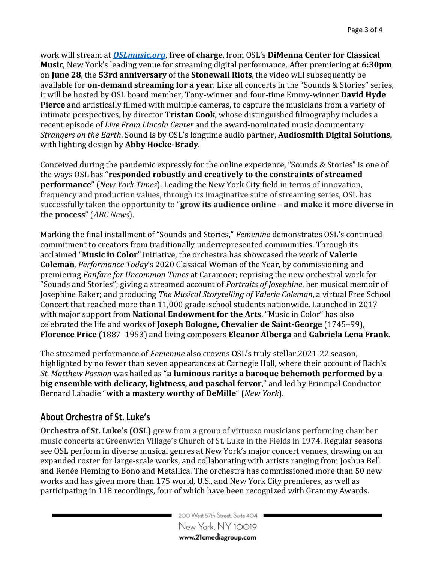work will stream at *[OSLmusic.org](https://oslmusic.org/)*, **free of charge**, from OSL's **DiMenna Center for Classical Music**, New York's leading venue for streaming digital performance. After premiering at **6:30pm** on **June 28**, the **53rd anniversary** of the **Stonewall Riots**, the video will subsequently be available for **on-demand streaming for a year**. Like all concerts in the "Sounds & Stories" series, it will be hosted by OSL board member, Tony-winner and four-time Emmy-winner **David Hyde Pierce** and artistically filmed with multiple cameras, to capture the musicians from a variety of intimate perspectives, by director **Tristan Cook**, whose distinguished filmography includes a recent episode of *Live From Lincoln Center* and the award-nominated music documentary *[Strangers on the Earth](https://www.imdb.com/title/tt5741038?ref_=nmawd_awd_1)*. Sound is by OSL's longtime audio partner, **Audiosmith Digital Solutions**, with lighting design by **Abby Hocke-Brady**.

Conceived during the pandemic expressly for the online experience, "Sounds & Stories" is one of the ways OSL has "**responded robustly and creatively to the constraints of streamed performance**" (*New York Times*). Leading the New York City field in terms of innovation, frequency and production values, through its imaginative suite of streaming series, OSL has successfully taken the opportunity to "**grow its audience online – and make it more diverse in the process**" (*ABC News*).

Marking the final installment of "Sounds and Stories," *Femenine* demonstrates OSL's continued commitment to creators from traditionally underrepresented communities. Through its acclaimed "**Music in Color**" initiative, the orchestra has showcased the work of **Valerie Coleman**, *Performance Today*'s 2020 Classical Woman of the Year, by commissioning and premiering *Fanfare for Uncommon Times* at Caramoor; reprising the new orchestral work for "Sounds and Stories"; giving a streamed account of *Portraits of Josephine*, her musical memoir of Josephine Baker; and producing *The Musical Storytelling of Valerie Coleman*, a virtual Free School Concert that reached more than 11,000 grade-school students nationwide. Launched in 2017 with major support from **National Endowment for the Arts**, "Music in Color" has also celebrated the life and works of **Joseph Bologne, Chevalier de Saint-George** (1745–99), **Florence Price** (1887–1953) and living composers **Eleanor Alberga** and **Gabriela Lena Frank**.

The streamed performance of *Femenine* also crowns OSL's truly stellar 2021-22 season, highlighted by no fewer than seven appearances at Carnegie Hall, where their account of Bach's *St. Matthew Passion* was hailed as "**a luminous rarity: a baroque behemoth performed by a big ensemble with delicacy, lightness, and paschal fervor**," and led by Principal Conductor Bernard Labadie "**with a mastery worthy of DeMille**" (*New York*).

## **About Orchestra of St. Luke's**

**Orchestra of St. Luke's (OSL)** grew from a group of virtuoso musicians performing chamber music concerts at Greenwich Village's Church of St. Luke in the Fields in 1974. Regular seasons see OSL perform in diverse musical genres at New York's major concert venues, drawing on an expanded roster for large-scale works, and collaborating with artists ranging from Joshua Bell and Renée Fleming to Bono and Metallica. The orchestra has commissioned more than 50 new works and has given more than 175 world, U.S., and New York City premieres, as well as participating in 118 recordings, four of which have been recognized with Grammy Awards.

> 200 West 57th Street, Suite 404 New York, NY 10019 www.21cmediagroup.com